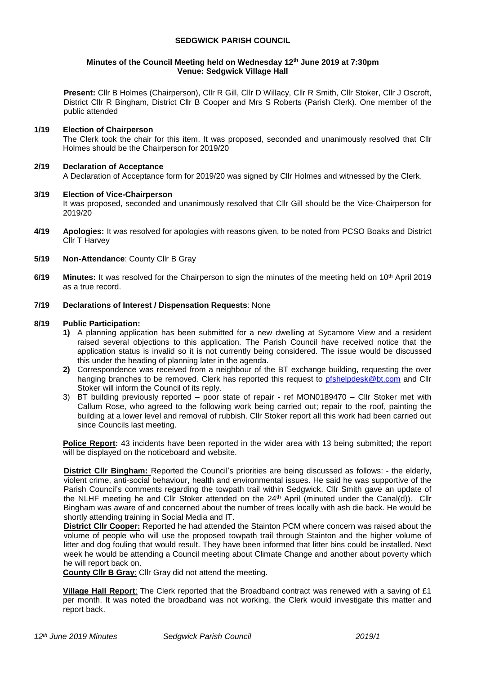## **SEDGWICK PARISH COUNCIL**

### **Minutes of the Council Meeting held on Wednesday 12 th June 2019 at 7:30pm Venue: Sedgwick Village Hall**

**Present:** Cllr B Holmes (Chairperson), Cllr R Gill, Cllr D Willacy, Cllr R Smith, Cllr Stoker, Cllr J Oscroft, District Cllr R Bingham, District Cllr B Cooper and Mrs S Roberts (Parish Clerk). One member of the public attended

# **1/19 Election of Chairperson**

The Clerk took the chair for this item. It was proposed, seconded and unanimously resolved that Cllr Holmes should be the Chairperson for 2019/20

## **2/19 Declaration of Acceptance**

A Declaration of Acceptance form for 2019/20 was signed by Cllr Holmes and witnessed by the Clerk.

# **3/19 Election of Vice-Chairperson**

It was proposed, seconded and unanimously resolved that Cllr Gill should be the Vice-Chairperson for 2019/20

- **4/19 Apologies:** It was resolved for apologies with reasons given, to be noted from PCSO Boaks and District Cllr T Harvey
- **5/19 Non-Attendance**: County Cllr B Gray
- 6/19 **Minutes:** It was resolved for the Chairperson to sign the minutes of the meeting held on 10<sup>th</sup> April 2019 as a true record.

## **7/19 Declarations of Interest / Dispensation Requests**: None

## **8/19 Public Participation:**

- **1)** A planning application has been submitted for a new dwelling at Sycamore View and a resident raised several objections to this application. The Parish Council have received notice that the application status is invalid so it is not currently being considered. The issue would be discussed this under the heading of planning later in the agenda.
- **2)** Correspondence was received from a neighbour of the BT exchange building, requesting the over hanging branches to be removed. Clerk has reported this request to [pfshelpdesk@bt.com](mailto:pfshelpdesk@bt.com) and Cllr Stoker will inform the Council of its reply.
- 3) BT building previously reported poor state of repair ref MON0189470 Cllr Stoker met with Callum Rose, who agreed to the following work being carried out; repair to the roof, painting the building at a lower level and removal of rubbish. Cllr Stoker report all this work had been carried out since Councils last meeting.

**Police Report:** 43 incidents have been reported in the wider area with 13 being submitted; the report will be displayed on the noticeboard and website.

**District Cllr Bingham:** Reported the Council's priorities are being discussed as follows: - the elderly, violent crime, anti-social behaviour, health and environmental issues. He said he was supportive of the Parish Council's comments regarding the towpath trail within Sedgwick. Cllr Smith gave an update of the NLHF meeting he and Cllr Stoker attended on the 24<sup>th</sup> April (minuted under the Canal(d)). Cllr Bingham was aware of and concerned about the number of trees locally with ash die back. He would be shortly attending training in Social Media and IT.

**District Cllr Cooper:** Reported he had attended the Stainton PCM where concern was raised about the volume of people who will use the proposed towpath trail through Stainton and the higher volume of litter and dog fouling that would result. They have been informed that litter bins could be installed. Next week he would be attending a Council meeting about Climate Change and another about poverty which he will report back on.

**County Cllr B Gray**: Cllr Gray did not attend the meeting.

**Village Hall Report**: The Clerk reported that the Broadband contract was renewed with a saving of £1 per month. It was noted the broadband was not working, the Clerk would investigate this matter and report back.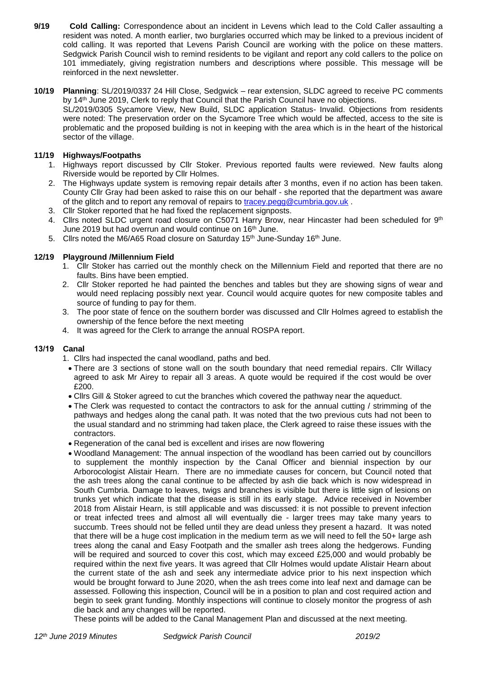- **9/19 Cold Calling:** Correspondence about an incident in Levens which lead to the Cold Caller assaulting a resident was noted. A month earlier, two burglaries occurred which may be linked to a previous incident of cold calling. It was reported that Levens Parish Council are working with the police on these matters. Sedgwick Parish Council wish to remind residents to be vigilant and report any cold callers to the police on 101 immediately, giving registration numbers and descriptions where possible. This message will be reinforced in the next newsletter.
- **10/19 Planning**: SL/2019/0337 24 Hill Close, Sedgwick rear extension, SLDC agreed to receive PC comments by 14<sup>th</sup> June 2019, Clerk to reply that Council that the Parish Council have no objections. SL/2019/0305 Sycamore View, New Build, SLDC application Status- Invalid. Objections from residents were noted: The preservation order on the Sycamore Tree which would be affected, access to the site is problematic and the proposed building is not in keeping with the area which is in the heart of the historical sector of the village.

# **11/19 Highways/Footpaths**

- 1. Highways report discussed by Cllr Stoker. Previous reported faults were reviewed. New faults along Riverside would be reported by Cllr Holmes.
- 2. The Highways update system is removing repair details after 3 months, even if no action has been taken. County Cllr Gray had been asked to raise this on our behalf - she reported that the department was aware of the glitch and to report any removal of repairs to [tracey.pegg@cumbria.gov.uk](mailto:tracey.pegg@cumbria.gov.uk) .
- 3. Cllr Stoker reported that he had fixed the replacement signposts.
- 4. Cllrs noted SLDC urgent road closure on C5071 Harry Brow, near Hincaster had been scheduled for  $9^{th}$ June 2019 but had overrun and would continue on 16th June.
- 5. Cllrs noted the M6/A65 Road closure on Saturday 15<sup>th</sup> June-Sunday 16<sup>th</sup> June.

# **12/19 Playground /Millennium Field**

- 1. Cllr Stoker has carried out the monthly check on the Millennium Field and reported that there are no faults. Bins have been emptied.
- 2. Cllr Stoker reported he had painted the benches and tables but they are showing signs of wear and would need replacing possibly next year. Council would acquire quotes for new composite tables and source of funding to pay for them.
- 3. The poor state of fence on the southern border was discussed and Cllr Holmes agreed to establish the ownership of the fence before the next meeting
- 4. It was agreed for the Clerk to arrange the annual ROSPA report.

# **13/19 Canal**

- 1. Cllrs had inspected the canal woodland, paths and bed.
- There are 3 sections of stone wall on the south boundary that need remedial repairs. Cllr Willacy agreed to ask Mr Airey to repair all 3 areas. A quote would be required if the cost would be over £200.
- Cllrs Gill & Stoker agreed to cut the branches which covered the pathway near the aqueduct.
- The Clerk was requested to contact the contractors to ask for the annual cutting / strimming of the pathways and hedges along the canal path. It was noted that the two previous cuts had not been to the usual standard and no strimming had taken place, the Clerk agreed to raise these issues with the contractors.
- Regeneration of the canal bed is excellent and irises are now flowering
- Woodland Management: The annual inspection of the woodland has been carried out by councillors to supplement the monthly inspection by the Canal Officer and biennial inspection by our Arborocologist Alistair Hearn. There are no immediate causes for concern, but Council noted that the ash trees along the canal continue to be affected by ash die back which is now widespread in South Cumbria. Damage to leaves, twigs and branches is visible but there is little sign of lesions on trunks yet which indicate that the disease is still in its early stage. Advice received in November 2018 from Alistair Hearn, is still applicable and was discussed: it is not possible to prevent infection or treat infected trees and almost all will eventually die - larger trees may take many years to succumb. Trees should not be felled until they are dead unless they present a hazard. It was noted that there will be a huge cost implication in the medium term as we will need to fell the 50+ large ash trees along the canal and Easy Footpath and the smaller ash trees along the hedgerows. Funding will be required and sourced to cover this cost, which may exceed £25,000 and would probably be required within the next five years. It was agreed that Cllr Holmes would update Alistair Hearn about the current state of the ash and seek any intermediate advice prior to his next inspection which would be brought forward to June 2020, when the ash trees come into leaf next and damage can be assessed. Following this inspection, Council will be in a position to plan and cost required action and begin to seek grant funding. Monthly inspections will continue to closely monitor the progress of ash die back and any changes will be reported.

These points will be added to the Canal Management Plan and discussed at the next meeting.